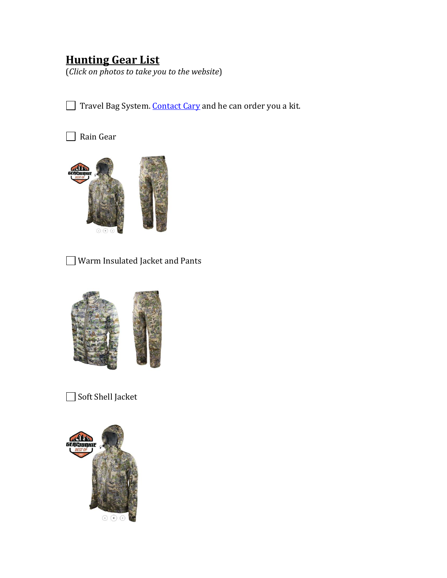# **Hunting Gear List**

(*Click on photos to take you to the website*)

Travel Bag System. [Contact Cary](mailto:fullscopeoutfitters@gmail.com) and he can order you a kit.

#### □ Rain Gear



Warm Insulated Jacket and Pants



Soft Shell Jacket

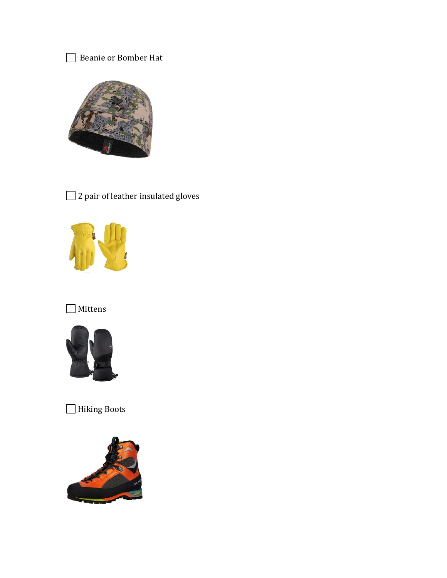### Beanie or Bomber Hat



## 2 pair of leather insulated gloves



# $\hfill\blacksquare$  <br> Mittens



## □ Hiking Boots

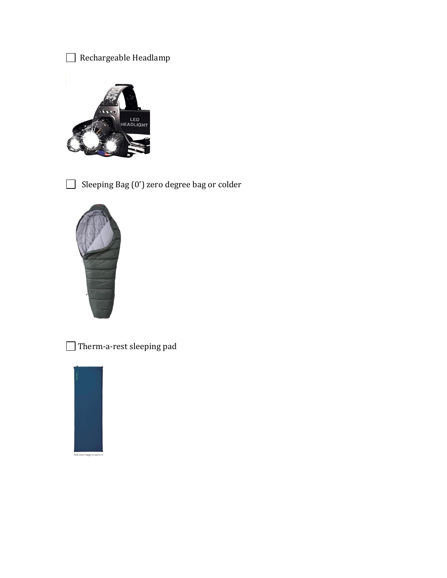



Sleeping Bag (0') zero degree bag or colder



Therm-a-rest sleeping pad

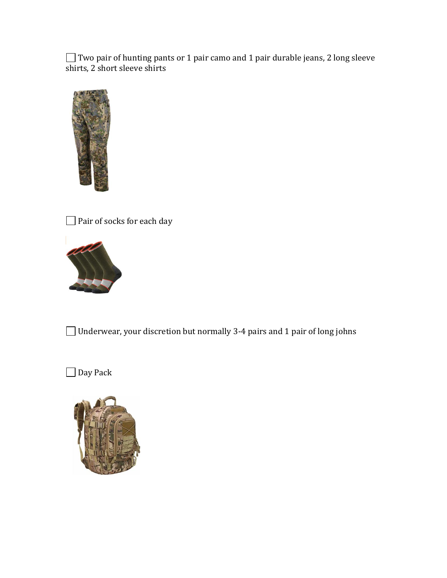Two pair of hunting pants or 1 pair camo and 1 pair durable jeans, 2 long sleeve shirts, 2 short sleeve shirts



□ Pair of socks for each day



Underwear, your discretion but normally 3-4 pairs and 1 pair of long johns

□ Day Pack

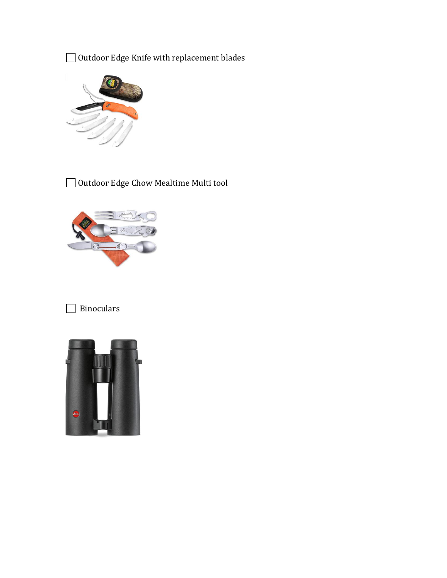Outdoor Edge Knife with replacement blades



Outdoor Edge Chow Mealtime Multi tool



## **Binoculars**

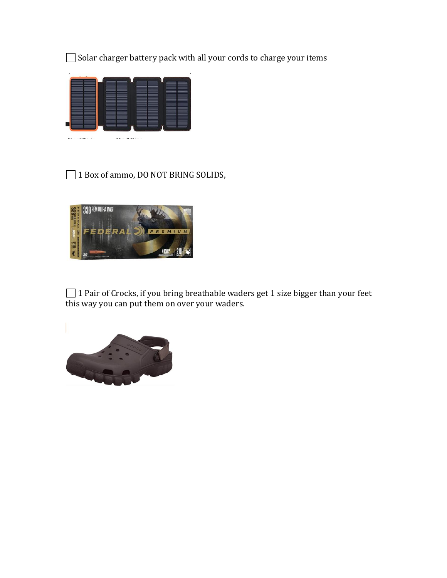Solar charger battery pack with all your cords to charge your items



#### □ 1 Box of ammo, DO NOT BRING SOLIDS,



 $\Box$  1 Pair of Crocks, if you bring breathable waders get 1 size bigger than your feet this way you can put them on over your waders.

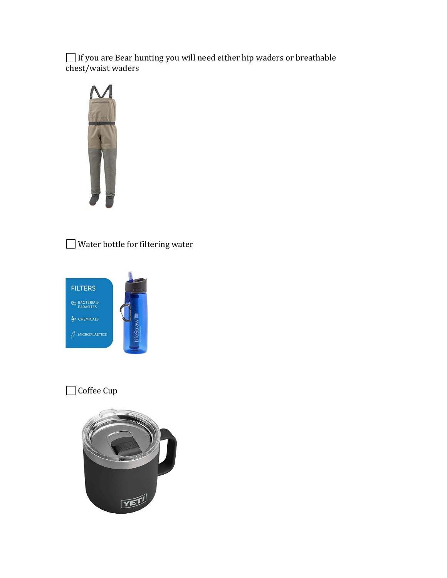If you are Bear hunting you will need either hip waders or breathable chest/waist waders



Water bottle for filtering water



### $\hfill\Box$  <br> Coffee Cup